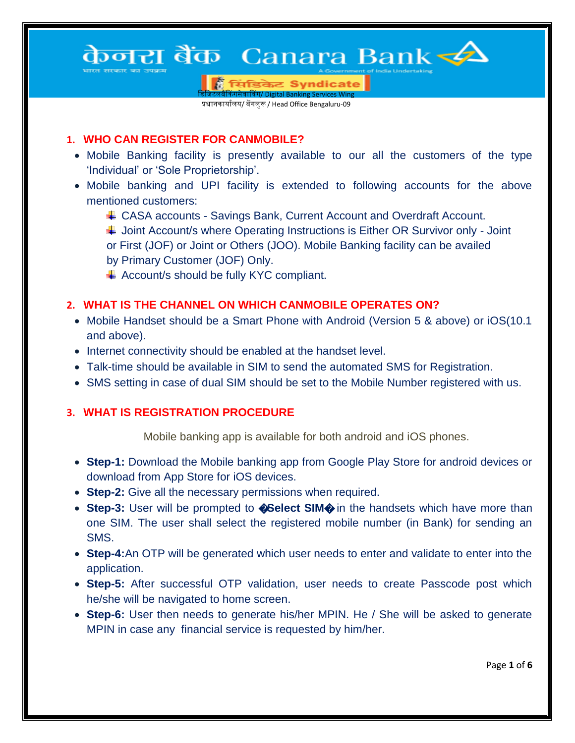# केनरा बैंक) Canara Bank < $\blacktriangle$

| सिंडिकेट Syndicate <u>.</u><br><mark>नेवाविंग/ Digital Banking Services</mark> '

प्रधानकार्यालय/ बेंगलुरू / Head Office Bengaluru-09

#### **1. WHO CAN REGISTER FOR CANMOBILE?**

- Mobile Banking facility is presently available to our all the customers of the type "Individual" or "Sole Proprietorship".
- Mobile banking and UPI facility is extended to following accounts for the above mentioned customers:
	- CASA accounts Savings Bank, Current Account and Overdraft Account.

H Joint Account/s where Operating Instructions is Either OR Survivor only - Joint or First (JOF) or Joint or Others (JOO). Mobile Banking facility can be availed by Primary Customer (JOF) Only.

 $\overline{\phantom{a}}$  Account/s should be fully KYC compliant.

## **2. WHAT IS THE CHANNEL ON WHICH CANMOBILE OPERATES ON?**

- Mobile Handset should be a Smart Phone with Android (Version 5 & above) or iOS(10.1 and above).
- Internet connectivity should be enabled at the handset level.
- Talk-time should be available in SIM to send the automated SMS for Registration.
- SMS setting in case of dual SIM should be set to the Mobile Number registered with us.

#### **3. WHAT IS REGISTRATION PROCEDURE**

Mobile banking app is available for both android and iOS phones.

- **Step-1:** Download the Mobile banking app from Google Play Store for android devices or download from App Store for iOS devices.
- **Step-2:** Give all the necessary permissions when required.
- **Step-3:** User will be prompted to **@Select SIM** in the handsets which have more than one SIM. The user shall select the registered mobile number (in Bank) for sending an SMS.
- **Step-4:**An OTP will be generated which user needs to enter and validate to enter into the application.
- **Step-5:** After successful OTP validation, user needs to create Passcode post which he/she will be navigated to home screen.
- **Step-6:** User then needs to generate his/her MPIN. He / She will be asked to generate MPIN in case any financial service is requested by him/her.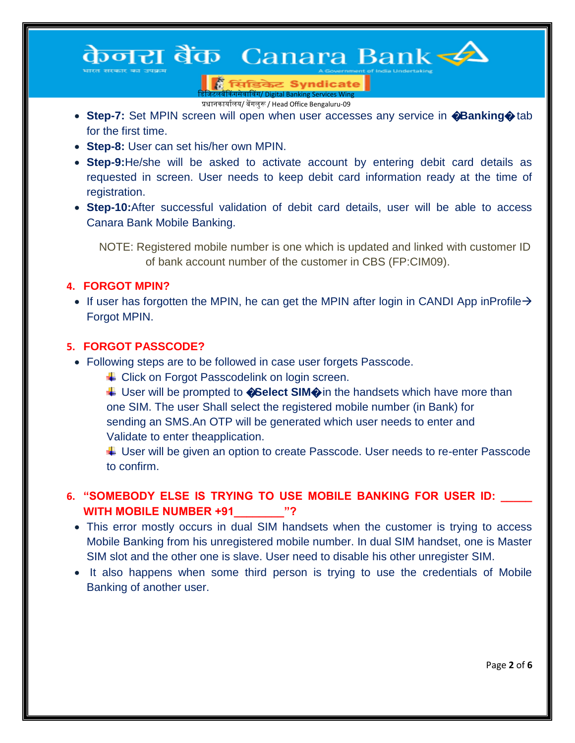## केनरा बैंक) Canara Bank < $\blacktriangle$

.<br>बिलिया/ Digital Banking Services Win प्रधानकार्यालय/ बेंगलुरू / Head Office Bengaluru-09

**Step-7:** Set MPIN screen will open when user accesses any service in **@Banking** for the first time.

सिंडिकेट Syndicate

- **Step-8:** User can set his/her own MPIN.
- **Step-9:**He/she will be asked to activate account by entering debit card details as requested in screen. User needs to keep debit card information ready at the time of registration.
- **Step-10:**After successful validation of debit card details, user will be able to access Canara Bank Mobile Banking.

NOTE: Registered mobile number is one which is updated and linked with customer ID of bank account number of the customer in CBS (FP:CIM09).

#### **4. FORGOT MPIN?**

If user has forgotten the MPIN, he can get the MPIN after login in CANDI App inProfile  $\rightarrow$ Forgot MPIN.

#### **5. FORGOT PASSCODE?**

- Following steps are to be followed in case user forgets Passcode.
	- ↓ Click on Forgot Passcodelink on login screen.
	- ↓ User will be prompted to **©Select SIM** in the handsets which have more than one SIM. The user Shall select the registered mobile number (in Bank) for sending an SMS.An OTP will be generated which user needs to enter and Validate to enter theapplication.

↓ User will be given an option to create Passcode. User needs to re-enter Passcode to confirm.

#### **6. "SOMEBODY ELSE IS TRYING TO USE MOBILE BANKING FOR USER ID: \_\_\_\_\_**  WITH MOBILE NUMBER +91  $\hspace{0.1cm}$  "?

- This error mostly occurs in dual SIM handsets when the customer is trying to access Mobile Banking from his unregistered mobile number. In dual SIM handset, one is Master SIM slot and the other one is slave. User need to disable his other unregister SIM.
- It also happens when some third person is trying to use the credentials of Mobile Banking of another user.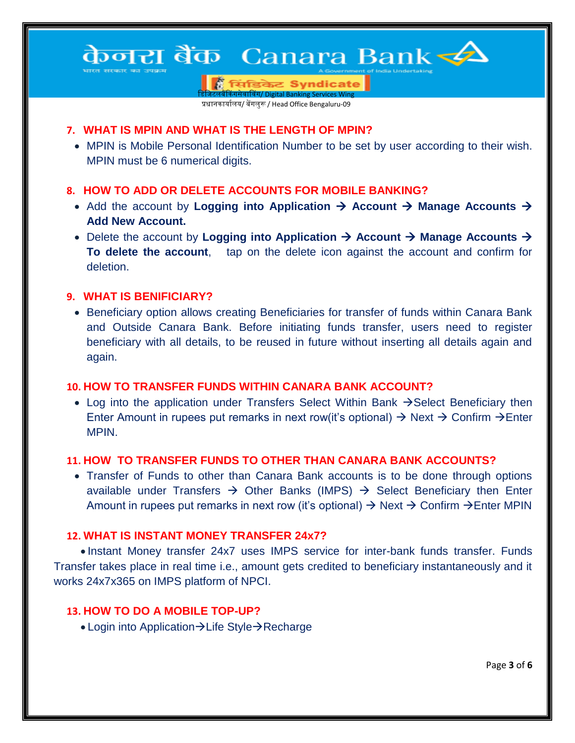## केनरा बैंक) Canara Bank स्ट्री

सिंडिकेट Syndicate <mark>क्रेंगसेवाविंग/ Digital Banking Services Wir</mark>

प्रधानकार्यालय/ बेंगलुरू / Head Office Bengaluru-09

#### **7. WHAT IS MPIN AND WHAT IS THE LENGTH OF MPIN?**

 MPIN is Mobile Personal Identification Number to be set by user according to their wish. MPIN must be 6 numerical digits.

### **8. HOW TO ADD OR DELETE ACCOUNTS FOR MOBILE BANKING?**

- Add the account by **Logging into Application**  $\rightarrow$  **Account**  $\rightarrow$  **Manage Accounts**  $\rightarrow$ **Add New Account.**
- Delete the account by Logging into Application  $\rightarrow$  Account  $\rightarrow$  Manage Accounts  $\rightarrow$ **To delete the account**, tap on the delete icon against the account and confirm for deletion.

#### **9. WHAT IS BENIFICIARY?**

• Beneficiary option allows creating Beneficiaries for transfer of funds within Canara Bank and Outside Canara Bank. Before initiating funds transfer, users need to register beneficiary with all details, to be reused in future without inserting all details again and again.

## **10. HOW TO TRANSFER FUNDS WITHIN CANARA BANK ACCOUNT?**

• Log into the application under Transfers Select Within Bank  $\rightarrow$  Select Beneficiary then Enter Amount in rupees put remarks in next row(it's optional)  $\rightarrow$  Next  $\rightarrow$  Confirm  $\rightarrow$  Enter MPIN.

## **11. HOW TO TRANSFER FUNDS TO OTHER THAN CANARA BANK ACCOUNTS?**

 Transfer of Funds to other than Canara Bank accounts is to be done through options available under Transfers  $\rightarrow$  Other Banks (IMPS)  $\rightarrow$  Select Beneficiary then Enter Amount in rupees put remarks in next row (it's optional)  $\rightarrow$  Next  $\rightarrow$  Confirm  $\rightarrow$  Enter MPIN

## **12. WHAT IS INSTANT MONEY TRANSFER 24x7?**

 Instant Money transfer 24x7 uses IMPS service for inter-bank funds transfer. Funds Transfer takes place in real time i.e., amount gets credited to beneficiary instantaneously and it works 24x7x365 on IMPS platform of NPCI.

## **13. HOW TO DO A MOBILE TOP-UP?**

• Login into Application  $\rightarrow$  Life Style $\rightarrow$  Recharge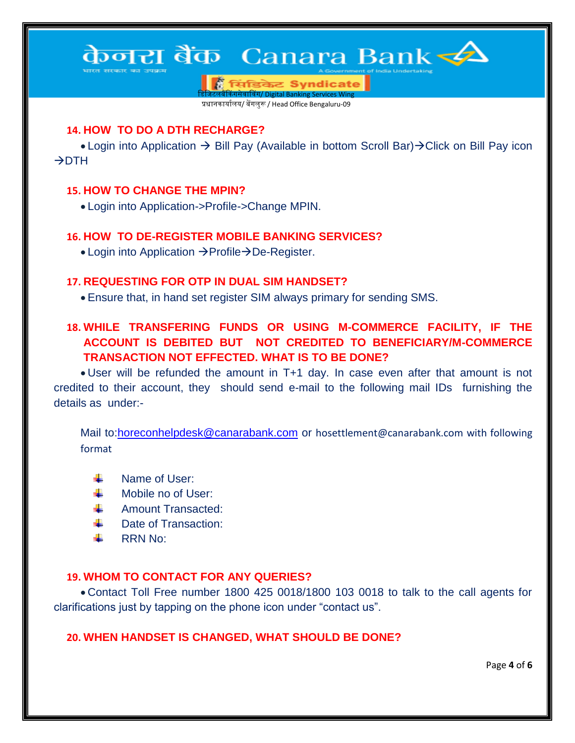## केनरा बैंक) Canara Bank <del><⁄</del>2

सिंडिकेट Syndicate <u>विंग/ Digital Banking Services Win</u>

प्रधानकार्यालय/ बेंगलुरू / Head Office Bengaluru-09

#### **14. HOW TO DO A DTH RECHARGE?**

• Login into Application  $\rightarrow$  Bill Pay (Available in bottom Scroll Bar) $\rightarrow$ Click on Bill Pay icon  $\rightarrow$ DTH

#### **15. HOW TO CHANGE THE MPIN?**

Login into Application->Profile->Change MPIN.

#### **16. HOW TO DE-REGISTER MOBILE BANKING SERVICES?**

• Login into Application  $\rightarrow$  Profile $\rightarrow$  De-Register.

#### **17. REQUESTING FOR OTP IN DUAL SIM HANDSET?**

Ensure that, in hand set register SIM always primary for sending SMS.

## **18. WHILE TRANSFERING FUNDS OR USING M-COMMERCE FACILITY, IF THE ACCOUNT IS DEBITED BUT NOT CREDITED TO BENEFICIARY/M-COMMERCE TRANSACTION NOT EFFECTED. WHAT IS TO BE DONE?**

 User will be refunded the amount in T+1 day. In case even after that amount is not credited to their account, they should send e-mail to the following mail IDs furnishing the details as under:-

Mail to[:horeconhelpdesk@canarabank.com](mailto:horeconhelpdesk@canarabank.com) or [hosettlement@canarabank.com](mailto:hosettlement@canarabank.com) with following format

- Name of User: ₩.
- Mobile no of User: ₩.
- Amount Transacted: ₩.
- ₩. Date of Transaction:
- RRN No:

#### **19. WHOM TO CONTACT FOR ANY QUERIES?**

 Contact Toll Free number 1800 425 0018/1800 103 0018 to talk to the call agents for clarifications just by tapping on the phone icon under "contact us".

#### **20. WHEN HANDSET IS CHANGED, WHAT SHOULD BE DONE?**

Page **4** of **6**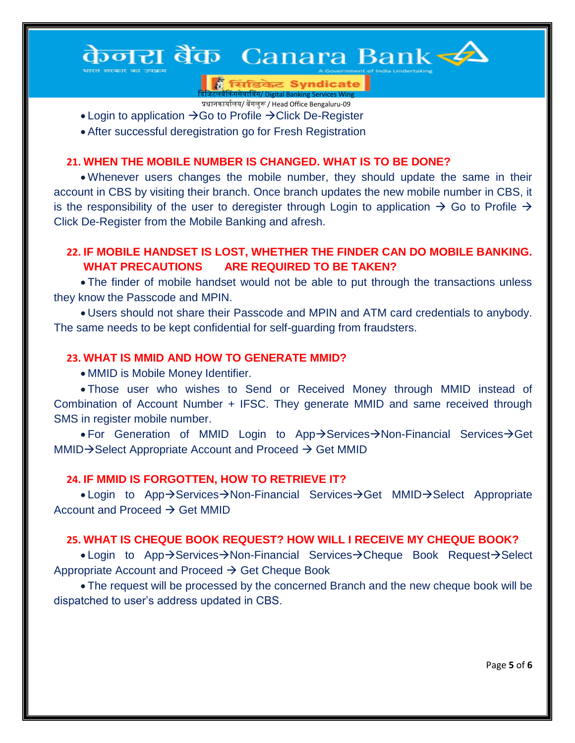## केनरा बैंक) Canara Bank <del><</del>2

सिंडिकेट Syndicate <u>.</u><br>बिंग/ Digital Banking Services W

प्रधानकार्यालय/ बेंगलुरू / Head Office Bengaluru-09

- Login to application  $\rightarrow$  Go to Profile  $\rightarrow$  Click De-Register
- After successful deregistration go for Fresh Registration

### **21. WHEN THE MOBILE NUMBER IS CHANGED. WHAT IS TO BE DONE?**

 Whenever users changes the mobile number, they should update the same in their account in CBS by visiting their branch. Once branch updates the new mobile number in CBS, it is the responsibility of the user to deregister through Login to application  $\rightarrow$  Go to Profile  $\rightarrow$ Click De-Register from the Mobile Banking and afresh.

### **22. IF MOBILE HANDSET IS LOST, WHETHER THE FINDER CAN DO MOBILE BANKING. WHAT PRECAUTIONS ARE REQUIRED TO BE TAKEN?**

 The finder of mobile handset would not be able to put through the transactions unless they know the Passcode and MPIN.

 Users should not share their Passcode and MPIN and ATM card credentials to anybody. The same needs to be kept confidential for self-guarding from fraudsters.

#### **23. WHAT IS MMID AND HOW TO GENERATE MMID?**

MMID is Mobile Money Identifier.

 Those user who wishes to Send or Received Money through MMID instead of Combination of Account Number + IFSC. They generate MMID and same received through SMS in register mobile number.

• For Generation of MMID Login to App $\rightarrow$ Services $\rightarrow$ Non-Financial Services $\rightarrow$ Get  $MMID \rightarrow$  Select Appropriate Account and Proceed  $\rightarrow$  Get MMID

#### **24. IF MMID IS FORGOTTEN, HOW TO RETRIEVE IT?**

• Login to App $\rightarrow$ Services $\rightarrow$ Non-Financial Services $\rightarrow$ Get MMID $\rightarrow$ Select Appropriate Account and Proceed  $\rightarrow$  Get MMID

#### **25. WHAT IS CHEQUE BOOK REQUEST? HOW WILL I RECEIVE MY CHEQUE BOOK?**

• Login to App $\rightarrow$ Services $\rightarrow$ Non-Financial Services $\rightarrow$ Cheque Book Request $\rightarrow$ Select Appropriate Account and Proceed  $\rightarrow$  Get Cheque Book

 The request will be processed by the concerned Branch and the new cheque book will be dispatched to user"s address updated in CBS.

Page **5** of **6**